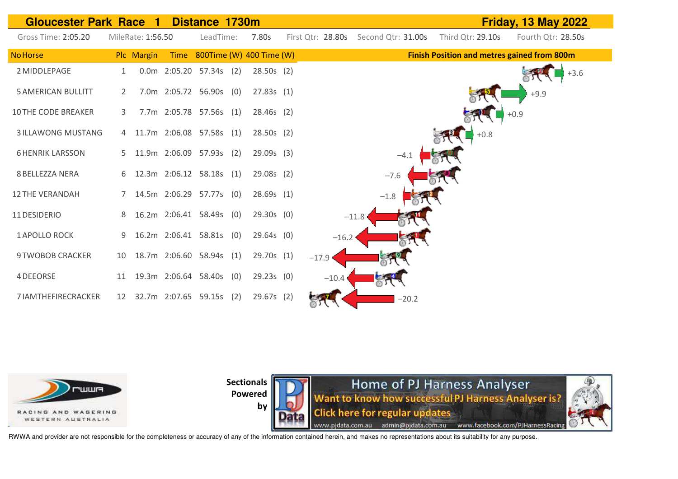



**by** 

Home of PJ Harness Analyser Want to know how successful PJ Harness Analyser is? **Click here for regular updates** www.pjdata.com.au admin@pjdata.com.au www.facebook.com/PJHarnessRacing

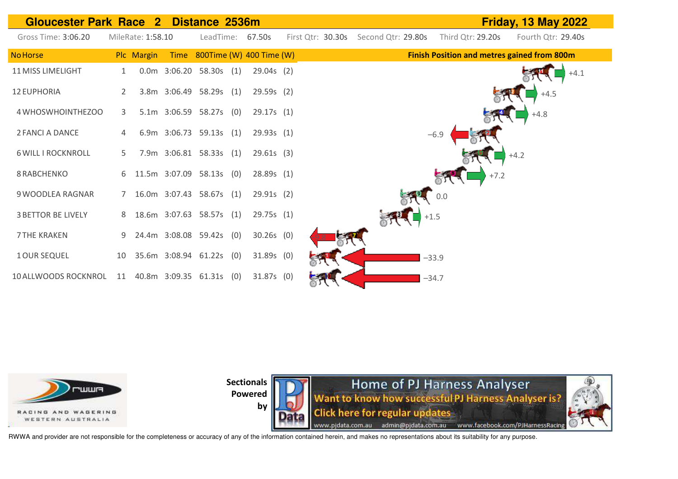



by



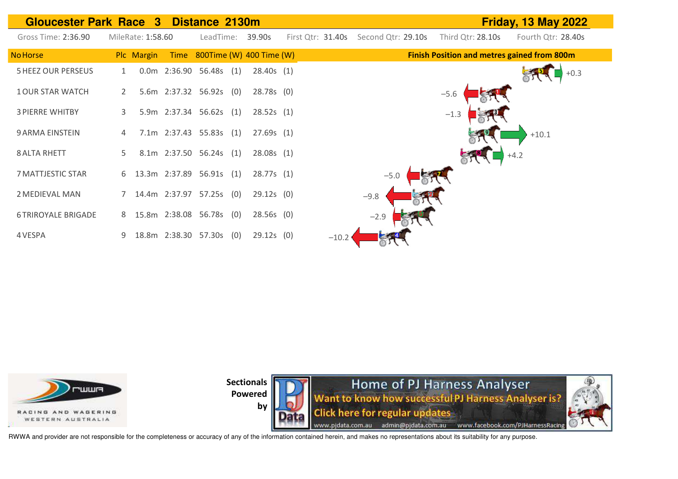| <b>Gloucester Park Race 3</b><br><b>Friday, 13 May 2022</b><br>Distance 2130m |                   |  |                               |              |                   |                    |                                                    |                    |  |  |  |  |
|-------------------------------------------------------------------------------|-------------------|--|-------------------------------|--------------|-------------------|--------------------|----------------------------------------------------|--------------------|--|--|--|--|
| Gross Time: 2:36.90                                                           | MileRate: 1:58.60 |  | LeadTime:                     | 39.90s       | First Qtr: 31.40s | Second Qtr: 29.10s | Third Qtr: 28.10s                                  | Fourth Qtr: 28.40s |  |  |  |  |
| <b>No Horse</b>                                                               | Plc Margin        |  | Time 800Time (W) 400 Time (W) |              |                   |                    | <b>Finish Position and metres gained from 800m</b> |                    |  |  |  |  |
| <b>5 HEEZ OUR PERSEUS</b>                                                     |                   |  | 0.0m 2:36.90 56.48s (1)       | 28.40s(1)    |                   |                    |                                                    | $+0.3$             |  |  |  |  |
| <b>1 OUR STAR WATCH</b>                                                       | 2                 |  | 5.6m 2:37.32 56.92s (0)       | $28.78s$ (0) |                   |                    | $-5.6$                                             |                    |  |  |  |  |
| <b>3 PIERRE WHITBY</b>                                                        | 3                 |  | 5.9m 2:37.34 56.62s (1)       | 28.52s(1)    |                   |                    | $-1.3$                                             |                    |  |  |  |  |
| 9 ARMA EINSTEIN                                                               |                   |  | 7.1m 2:37.43 55.83s (1)       | 27.69s(1)    |                   |                    |                                                    | $+10.1$            |  |  |  |  |
| <b>8 ALTA RHETT</b>                                                           | 5.                |  | 8.1m 2:37.50 56.24s (1)       | 28.08s(1)    |                   |                    |                                                    | $+4.2$             |  |  |  |  |
| 7 MATTJESTIC STAR                                                             | 6                 |  | 13.3m 2:37.89 56.91s (1)      | 28.77s(1)    |                   | $-5.0$             |                                                    |                    |  |  |  |  |
| 2 MEDIEVAL MAN                                                                |                   |  | 14.4m 2:37.97 57.25s (0)      | $29.12s$ (0) |                   | $-9.8$             |                                                    |                    |  |  |  |  |
| <b>6 TRIROYALE BRIGADE</b>                                                    | 8                 |  | 15.8m 2:38.08 56.78s (0)      | $28.56s$ (0) |                   | $-2.9$             |                                                    |                    |  |  |  |  |
| 4 VESPA                                                                       | 9                 |  | 18.8m 2:38.30 57.30s (0)      | $29.12s$ (0) | $-10.2$           |                    |                                                    |                    |  |  |  |  |





RWWA and provider are not responsible for the completeness or accuracy of any of the information contained herein, and makes no representations about its suitability for any purpose.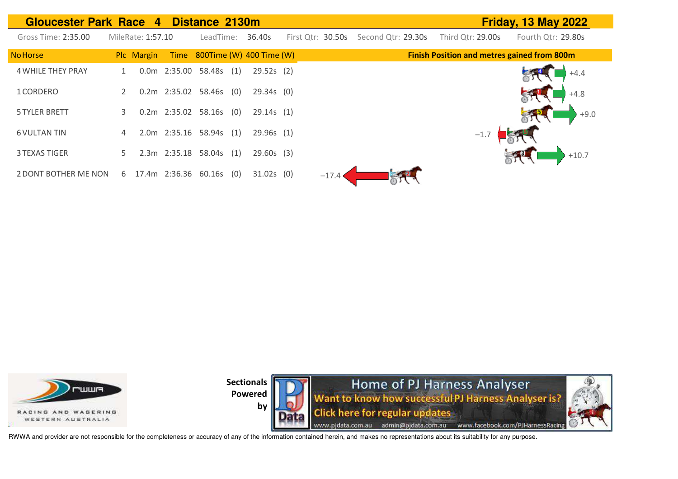| <b>Gloucester Park Race 4</b> |    |                   | Distance 2130m       |     |                               |                   |                    |                   | <b>Friday, 13 May 2022</b>                         |
|-------------------------------|----|-------------------|----------------------|-----|-------------------------------|-------------------|--------------------|-------------------|----------------------------------------------------|
| Gross Time: 2:35.00           |    | MileRate: 1:57.10 | LeadTime:            |     | 36.40s                        | First Qtr: 30.50s | Second Qtr: 29.30s | Third Otr: 29.00s | Fourth Qtr: 29.80s                                 |
| <b>No Horse</b>               |    | Plc Margin        |                      |     | Time 800Time (W) 400 Time (W) |                   |                    |                   | <b>Finish Position and metres gained from 800m</b> |
| <b>4 WHILE THEY PRAY</b>      |    |                   | 0.0m 2:35.00 58.48s  | (1) | $29.52s$ (2)                  |                   |                    |                   |                                                    |
| 1 CORDERO                     |    |                   | 0.2m 2:35.02 58.46s  | (0) | $29.34s$ (0)                  |                   |                    |                   | $+4.8$                                             |
| <b>5 TYLER BRETT</b>          | 3. |                   | 0.2m 2:35.02 58.16s  | (0) | 29.14s(1)                     |                   |                    |                   | $+9.0$                                             |
| <b>6 VULTAN TIN</b>           | 4  |                   | 2.0m 2:35.16 58.94s  | (1) | 29.96s(1)                     |                   |                    | $-1.7$            |                                                    |
| 3 TEXAS TIGER                 |    |                   | 2.3m 2:35.18 58.04s  | (1) | $29.60s$ (3)                  |                   |                    |                   | $+10.7$                                            |
| 2 DONT BOTHER ME NON          | 6  |                   | 17.4m 2:36.36 60.16s | (0) | $31.02s$ (0)                  | $-17.4$           |                    |                   |                                                    |





RWWA and provider are not responsible for the completeness or accuracy of any of the information contained herein, and makes no representations about its suitability for any purpose.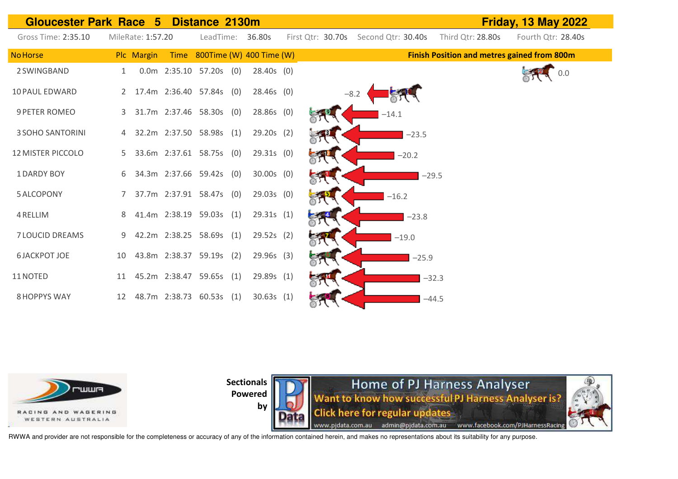| <b>Gloucester Park Race 5</b> |             |                   |                            | Distance 2130m |                               |                   |                    |         |                                                    | <b>Friday, 13 May 2022</b> |
|-------------------------------|-------------|-------------------|----------------------------|----------------|-------------------------------|-------------------|--------------------|---------|----------------------------------------------------|----------------------------|
| Gross Time: 2:35.10           |             | MileRate: 1:57.20 |                            | LeadTime:      | 36.80s                        | First Qtr: 30.70s | Second Qtr: 30.40s |         | Third Qtr: 28.80s                                  | Fourth Qtr: 28.40s         |
| <b>No Horse</b>               |             | Plc Margin        |                            |                | Time 800Time (W) 400 Time (W) |                   |                    |         | <b>Finish Position and metres gained from 800m</b> |                            |
| 2 SWINGBAND                   |             |                   | $0.0m$ 2:35.10 57.20s (0)  |                | $28.40s$ (0)                  |                   |                    |         |                                                    | 0.0                        |
| <b>10 PAUL EDWARD</b>         |             |                   | 2 17.4m 2:36.40 57.84s (0) |                | $28.46s$ (0)                  |                   | $-8.2$             |         |                                                    |                            |
| 9 PETER ROMEO                 |             |                   | 3 31.7m 2:37.46 58.30s (0) |                | 28.86s (0)                    |                   | $-14.1$            |         |                                                    |                            |
| <b>3 SOHO SANTORINI</b>       |             |                   | 32.2m 2:37.50 58.98s (1)   |                | $29.20s$ (2)                  |                   |                    | $-23.5$ |                                                    |                            |
| <b>12 MISTER PICCOLO</b>      |             |                   | 5 33.6m 2:37.61 58.75s (0) |                | $29.31s$ (0)                  |                   | $-20.2$            |         |                                                    |                            |
| <b>1DARDY BOY</b>             | 6           |                   | 34.3m 2:37.66 59.42s (0)   |                | $30.00s$ (0)                  |                   |                    | $-29.5$ |                                                    |                            |
| <b>5 ALCOPONY</b>             | $7^{\circ}$ |                   | 37.7m 2:37.91 58.47s (0)   |                | $29.03s$ (0)                  |                   | $-16.2$            |         |                                                    |                            |
| 4 RELLIM                      | 8           |                   | 41.4m 2:38.19 59.03s (1)   |                | 29.31s(1)                     |                   |                    | $-23.8$ |                                                    |                            |
| <b>7 LOUCID DREAMS</b>        | 9           |                   | 42.2m 2:38.25 58.69s (1)   |                | 29.52s (2)                    |                   | $-19.0$            |         |                                                    |                            |
| <b>6 JACKPOT JOE</b>          | 10          |                   | 43.8m 2:38.37 59.19s (2)   |                | $29.96s$ (3)                  |                   |                    | $-25.9$ |                                                    |                            |
| 11 NOTED                      | 11          |                   | 45.2m 2:38.47 59.65s (1)   |                | 29.89s (1)                    |                   |                    | $-32.3$ |                                                    |                            |
| <b>8 HOPPYS WAY</b>           | 12          |                   | 48.7m 2:38.73 60.53s (1)   |                | 30.63s(1)                     |                   |                    | $-44.5$ |                                                    |                            |



**Sectionals** 



Home of PJ Harness Analyser<br>Want to know how successful PJ Harness Analyser is? **Click here for regular updates** www.pjdata.com.au admin@pjdata.com.au www.facebook.com/PJHarnessRacing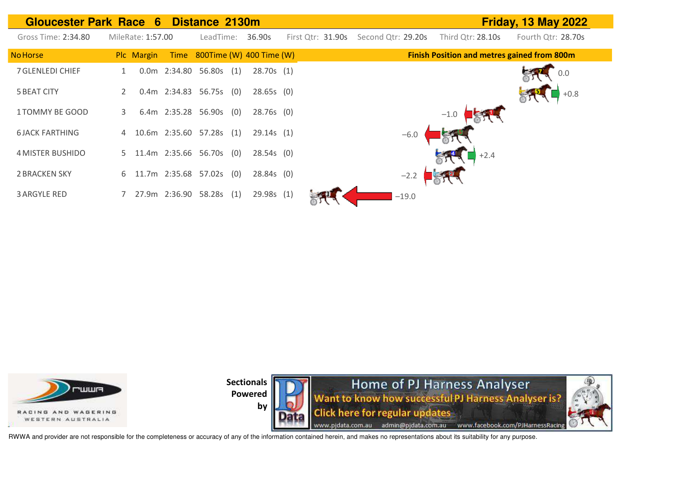| Gloucester Park Race 6 Distance 2130m |                   |                      |                               |     |              |                   |                    |         |                                                    | <b>Friday, 13 May 2022</b> |
|---------------------------------------|-------------------|----------------------|-------------------------------|-----|--------------|-------------------|--------------------|---------|----------------------------------------------------|----------------------------|
| Gross Time: 2:34.80                   | MileRate: 1:57.00 |                      | LeadTime:                     |     | 36.90s       | First Otr: 31.90s | Second Qtr: 29.20s |         | Third Qtr: 28.10s                                  | Fourth Qtr: 28.70s         |
| No Horse                              | Plc Margin        |                      | Time 800Time (W) 400 Time (W) |     |              |                   |                    |         | <b>Finish Position and metres gained from 800m</b> |                            |
| 7 GLENLEDI CHIEF                      |                   |                      | 0.0m 2:34.80 56.80s (1)       |     | 28.70s(1)    |                   |                    |         |                                                    | 0.0                        |
| <b>5 BEAT CITY</b>                    |                   |                      | 0.4m 2:34.83 56.75s (0)       |     | $28.65s$ (0) |                   |                    |         |                                                    | $+0.8$                     |
| 1 TOMMY BE GOOD                       | 3.                | 6.4m 2:35.28 56.90s  |                               | (0) | $28.76s$ (0) |                   |                    |         | $-1.0$                                             |                            |
| <b>6 JACK FARTHING</b>                | 4                 |                      | 10.6m 2:35.60 57.28s (1)      |     | 29.14s(1)    |                   |                    | $-6.0$  |                                                    |                            |
| 4 MISTER BUSHIDO                      | 5                 | 11.4m 2:35.66 56.70s |                               | (0) | 28.54s(0)    |                   |                    |         | $+2.4$                                             |                            |
| <b>2 BRACKEN SKY</b>                  | 6.                | 11.7m 2:35.68 57.02s |                               | (0) | $28.84s$ (0) |                   |                    | $-2.2$  |                                                    |                            |
| <b>3 ARGYLE RED</b>                   |                   | 27.9m 2:36.90 58.28s |                               | (1) | 29.98s (1)   |                   |                    | $-19.0$ |                                                    |                            |





RWWA and provider are not responsible for the completeness or accuracy of any of the information contained herein, and makes no representations about its suitability for any purpose.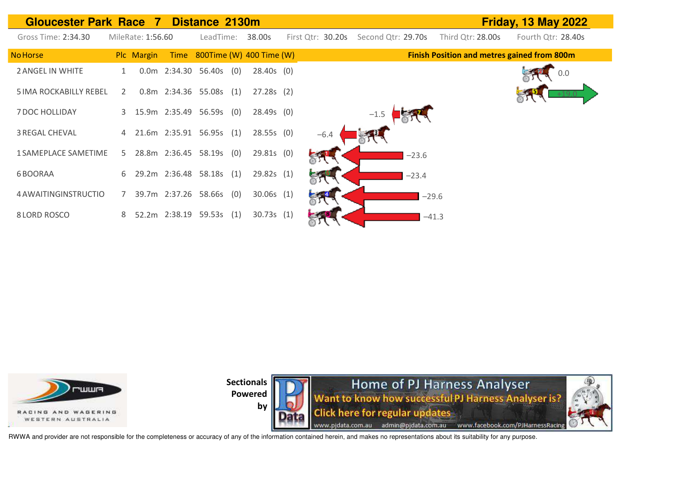| <b>Gloucester Park Race 7</b> |                |                   |               | Distance 2130m           |     |                          |                   |                    |         |                                                    | <b>Friday, 13 May 2022</b> |
|-------------------------------|----------------|-------------------|---------------|--------------------------|-----|--------------------------|-------------------|--------------------|---------|----------------------------------------------------|----------------------------|
| Gross Time: 2:34.30           |                | MileRate: 1:56.60 |               | LeadTime:                |     | 38.00s                   | First Qtr: 30.20s | Second Qtr: 29.70s |         | Third Qtr: 28.00s                                  | Fourth Qtr: 28.40s         |
| <b>No Horse</b>               |                | Plc Margin        | Time          |                          |     | 800Time (W) 400 Time (W) |                   |                    |         | <b>Finish Position and metres gained from 800m</b> |                            |
| 2 ANGEL IN WHITE              |                |                   |               | 0.0m  2:34.30  56.40s    | (0) | $28.40s$ (0)             |                   |                    |         |                                                    | 0.0                        |
| <b>5 IMA ROCKABILLY REBEL</b> | 2              |                   |               | 0.8m 2:34.36 55.08s      | (1) | $27.28s$ (2)             |                   |                    |         |                                                    |                            |
| 7 DOC HOLLIDAY                | 3              |                   |               | 15.9m 2:35.49 56.59s (0) |     | $28.49s$ (0)             |                   | $-1.5$             |         |                                                    |                            |
| <b>3 REGAL CHEVAL</b>         | $\overline{4}$ |                   |               | 21.6m 2:35.91 56.95s (1) |     | 28.55s(0)                | $-6.4$            |                    |         |                                                    |                            |
| <b>1 SAMEPLACE SAMETIME</b>   | 5.             |                   |               | 28.8m 2:36.45 58.19s (0) |     | 29.81s(0)                |                   |                    | $-23.6$ |                                                    |                            |
| 6 BOORAA                      | 6              |                   |               | 29.2m 2:36.48 58.18s (1) |     | 29.82s(1)                |                   |                    | $-23.4$ |                                                    |                            |
| 4 AWAITINGINSTRUCTIO          | 7              |                   |               | 39.7m 2:37.26 58.66s     | (0) | 30.06s(1)                |                   |                    | $-29.6$ |                                                    |                            |
| 8 LORD ROSCO                  | 8              |                   | 52.2m 2:38.19 | 59.53s                   | (1) | 30.73s(1)                |                   |                    | $-41.3$ |                                                    |                            |



**by** 

**Home of PJ Harness Analyser**<br>Want to know how successful PJ Harness Analyser is? **Click here for regular updates** www.pjdata.com.au admin@pjdata.com.au www.facebook.com/PJHarnessRacing

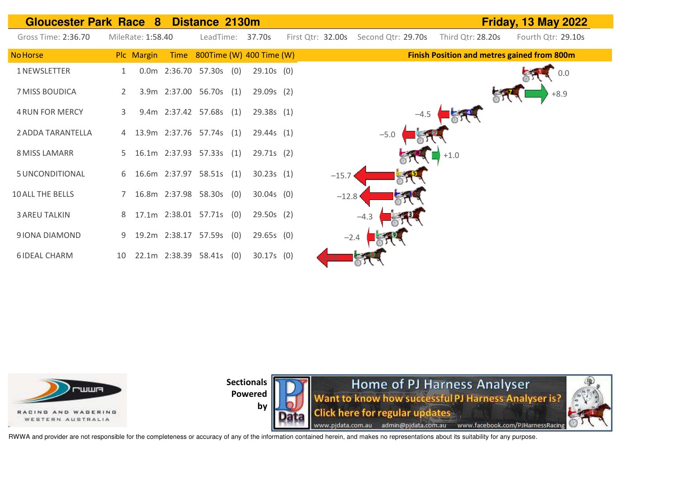| <b>Gloucester Park Race</b> |    | $\bf{8}$          | Distance 2130m             |                               |                   |                    |        |                   | <b>Friday, 13 May 2022</b>                         |
|-----------------------------|----|-------------------|----------------------------|-------------------------------|-------------------|--------------------|--------|-------------------|----------------------------------------------------|
| Gross Time: 2:36.70         |    | MileRate: 1:58.40 |                            | LeadTime: 37.70s              | First Qtr: 32.00s | Second Qtr: 29.70s |        | Third Qtr: 28.20s | Fourth Qtr: 29.10s                                 |
| <b>No Horse</b>             |    | Plc Margin        |                            | Time 800Time (W) 400 Time (W) |                   |                    |        |                   | <b>Finish Position and metres gained from 800m</b> |
| 1 NEWSLETTER                | 1  |                   | $0.0m$ 2:36.70 57.30s (0)  | $29.10s$ (0)                  |                   |                    |        |                   | 0.0                                                |
| 7 MISS BOUDICA              | 2  |                   | 3.9m 2:37.00 56.70s (1)    | 29.09s(2)                     |                   |                    |        |                   | $+8.9$                                             |
| <b>4 RUN FOR MERCY</b>      | 3  |                   | 9.4m 2:37.42 57.68s (1)    | 29.38s(1)                     |                   |                    | $-4.5$ |                   |                                                    |
| 2 ADDA TARANTELLA           |    |                   | 4 13.9m 2:37.76 57.74s (1) | 29.44s(1)                     |                   | $-5.0$             |        |                   |                                                    |
| 8 MISS LAMARR               |    |                   | 5 16.1m 2:37.93 57.33s (1) | 29.71s(2)                     |                   |                    |        | $+1.0$            |                                                    |
| 5 UNCONDITIONAL             |    |                   | 6 16.6m 2:37.97 58.51s (1) | 30.23s(1)                     | $-15.7$           |                    |        |                   |                                                    |
| <b>10 ALL THE BELLS</b>     |    |                   | 7 16.8m 2:37.98 58.30s (0) | $30.04s$ (0)                  | $-12.8$           |                    |        |                   |                                                    |
| <b>3 AREU TALKIN</b>        | 8  |                   | 17.1m 2:38.01 57.71s (0)   | $29.50s$ (2)                  |                   | $-4.3$             |        |                   |                                                    |
| 9 IONA DIAMOND              | 9  |                   | 19.2m 2:38.17 57.59s (0)   | $29.65s$ (0)                  |                   | $-2.4$             |        |                   |                                                    |
| <b>6 IDEAL CHARM</b>        | 10 |                   | 22.1m 2:38.39 58.41s (0)   | $30.17s$ (0)                  |                   |                    |        |                   |                                                    |



by



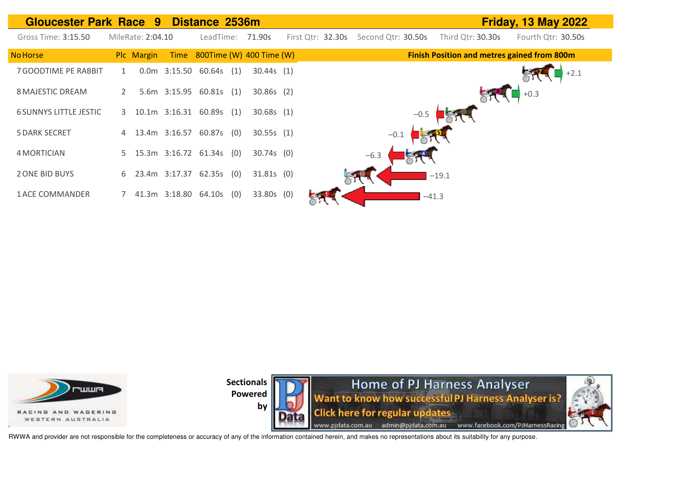





RWWA and provider are not responsible for the completeness or accuracy of any of the information contained herein, and makes no representations about its suitability for any purpose.